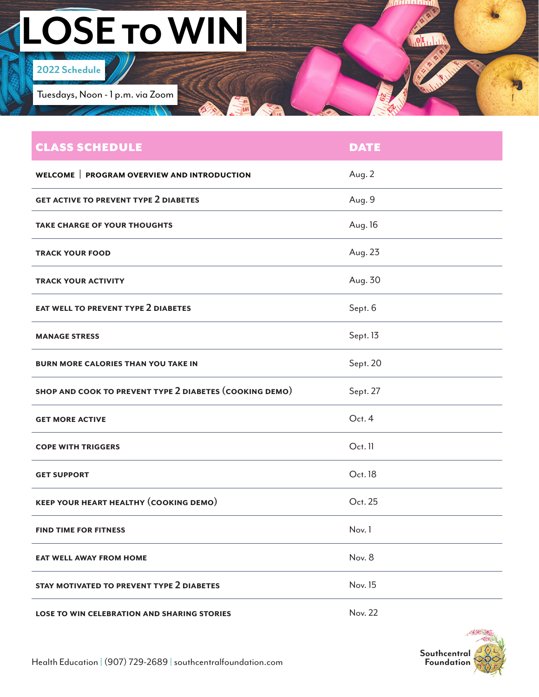## **LOSE TO WIN**

## **2022 Schedule**

Tuesdays, Noon - 1 p.m. via Zoom

| <b>CLASS SCHEDULE</b>                                   | <b>DATE</b> |
|---------------------------------------------------------|-------------|
| WELCOME   PROGRAM OVERVIEW AND INTRODUCTION             | Aug. 2      |
| <b>GET ACTIVE TO PREVENT TYPE 2 DIABETES</b>            | Aug. 9      |
| <b>TAKE CHARGE OF YOUR THOUGHTS</b>                     | Aug. 16     |
| <b>TRACK YOUR FOOD</b>                                  | Aug. 23     |
| <b>TRACK YOUR ACTIVITY</b>                              | Aug. 30     |
| <b>EAT WELL TO PREVENT TYPE 2 DIABETES</b>              | Sept. 6     |
| <b>MANAGE STRESS</b>                                    | Sept. 13    |
| <b>BURN MORE CALORIES THAN YOU TAKE IN</b>              | Sept. 20    |
|                                                         |             |
| SHOP AND COOK TO PREVENT TYPE 2 DIABETES (COOKING DEMO) | Sept. 27    |
| <b>GET MORE ACTIVE</b>                                  | Oct. 4      |
| <b>COPE WITH TRIGGERS</b>                               | Oct. 11     |
| <b>GET SUPPORT</b>                                      | Oct. 18     |
| <b>KEEP YOUR HEART HEALTHY (COOKING DEMO)</b>           | Oct. 25     |
| <b>FIND TIME FOR FITNESS</b>                            | Nov. 1      |
| <b>EAT WELL AWAY FROM HOME</b>                          | Nov. 8      |
| STAY MOTIVATED TO PREVENT TYPE 2 DIABETES               | Nov. 15     |